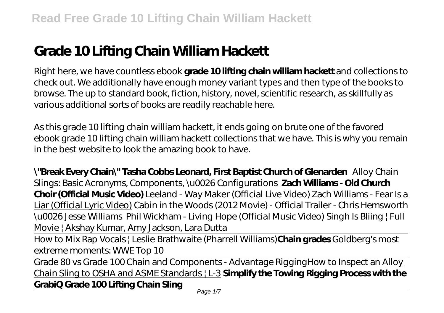# **Grade 10 Lifting Chain William Hackett**

Right here, we have countless ebook **grade 10 lifting chain william hackett** and collections to check out. We additionally have enough money variant types and then type of the books to browse. The up to standard book, fiction, history, novel, scientific research, as skillfully as various additional sorts of books are readily reachable here.

As this grade 10 lifting chain william hackett, it ends going on brute one of the favored ebook grade 10 lifting chain william hackett collections that we have. This is why you remain in the best website to look the amazing book to have.

**\"Break Every Chain\" Tasha Cobbs Leonard, First Baptist Church of Glenarden** Alloy Chain Slings: Basic Acronyms, Components, \u0026 Configurations **Zach Williams - Old Church Choir (Official Music Video)** Leeland - Way Maker (Official Live Video) Zach Williams - Fear Is a Liar (Official Lyric Video) *Cabin in the Woods (2012 Movie) - Official Trailer - Chris Hemsworth \u0026 Jesse Williams* Phil Wickham - Living Hope (Official Music Video) Singh Is Bliing | Full Movie | Akshay Kumar, Amy Jackson, Lara Dutta

How to Mix Rap Vocals | Leslie Brathwaite (Pharrell Williams)**Chain grades** *Goldberg's most extreme moments: WWE Top 10*

Grade 80 vs Grade 100 Chain and Components - Advantage RiggingHow to Inspect an Alloy Chain Sling to OSHA and ASME Standards | L-3 **Simplify the Towing Rigging Process with the GrabiQ Grade 100 Lifting Chain Sling**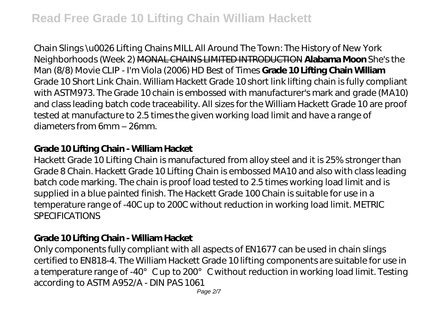Chain Slings \u0026 Lifting Chains *MILL All Around The Town: The History of New York Neighborhoods (Week 2)* MONAL CHAINS LIMITED INTRODUCTION **Alabama Moon** She's the Man (8/8) Movie CLIP - I'm Viola (2006) HD *Best of Times* **Grade 10 Lifting Chain William** Grade 10 Short Link Chain. William Hackett Grade 10 short link lifting chain is fully compliant with ASTM973. The Grade 10 chain is embossed with manufacturer's mark and grade (MA10) and class leading batch code traceability. All sizes for the William Hackett Grade 10 are proof tested at manufacture to 2.5 times the given working load limit and have a range of diameters from 6mm – 26mm.

#### **Grade 10 Lifting Chain - William Hacket**

Hackett Grade 10 Lifting Chain is manufactured from alloy steel and it is 25% stronger than Grade 8 Chain. Hackett Grade 10 Lifting Chain is embossed MA10 and also with class leading batch code marking. The chain is proof load tested to 2.5 times working load limit and is supplied in a blue painted finish. The Hackett Grade 100 Chain is suitable for use in a temperature range of -40C up to 200C without reduction in working load limit. METRIC **SPECIFICATIONS** 

#### **Grade 10 Lifting Chain - William Hacket**

Only components fully compliant with all aspects of EN1677 can be used in chain slings certified to EN818-4. The William Hackett Grade 10 lifting components are suitable for use in a temperature range of -40° C up to 200° C without reduction in working load limit. Testing according to ASTM A952/A - DIN PAS 1061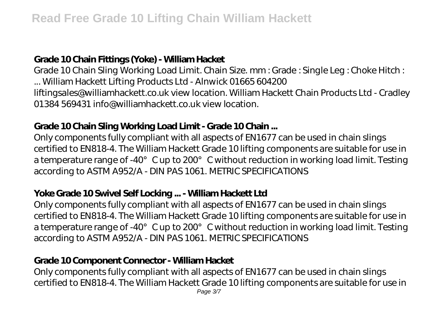# **Grade 10 Chain Fittings (Yoke) - William Hacket**

Grade 10 Chain Sling Working Load Limit. Chain Size. mm : Grade : Single Leg : Choke Hitch : ... William Hackett Lifting Products Ltd - Alnwick 01665 604200 liftingsales@williamhackett.co.uk view location. William Hackett Chain Products Ltd - Cradley 01384 569431 info@williamhackett.co.uk view location.

# **Grade 10 Chain Sling Working Load Limit - Grade 10 Chain ...**

Only components fully compliant with all aspects of EN1677 can be used in chain slings certified to EN818-4. The William Hackett Grade 10 lifting components are suitable for use in a temperature range of -40° C up to 200° C without reduction in working load limit. Testing according to ASTM A952/A - DIN PAS 1061. METRIC SPECIFICATIONS

#### **Yoke Grade 10 Swivel Self Locking ... - William Hackett Ltd**

Only components fully compliant with all aspects of EN1677 can be used in chain slings certified to EN818-4. The William Hackett Grade 10 lifting components are suitable for use in a temperature range of -40° C up to 200° C without reduction in working load limit. Testing according to ASTM A952/A - DIN PAS 1061. METRIC SPECIFICATIONS

# **Grade 10 Component Connector - William Hacket**

Only components fully compliant with all aspects of EN1677 can be used in chain slings certified to EN818-4. The William Hackett Grade 10 lifting components are suitable for use in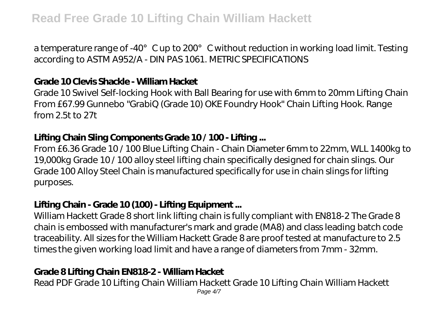a temperature range of -40° C up to 200° C without reduction in working load limit. Testing according to ASTM A952/A - DIN PAS 1061. METRIC SPECIFICATIONS

#### **Grade 10 Clevis Shackle - William Hacket**

Grade 10 Swivel Self-locking Hook with Ball Bearing for use with 6mm to 20mm Lifting Chain From £67.99 Gunnebo "GrabiQ (Grade 10) OKE Foundry Hook" Chain Lifting Hook. Range from 2.5t to 27t

#### **Lifting Chain Sling Components Grade 10 / 100 - Lifting ...**

From £6.36 Grade 10 / 100 Blue Lifting Chain - Chain Diameter 6mm to 22mm, WLL 1400kg to 19,000kg Grade 10 / 100 alloy steel lifting chain specifically designed for chain slings. Our Grade 100 Alloy Steel Chain is manufactured specifically for use in chain slings for lifting purposes.

#### **Lifting Chain - Grade 10 (100) - Lifting Equipment ...**

William Hackett Grade 8 short link lifting chain is fully compliant with EN818-2 The Grade 8 chain is embossed with manufacturer's mark and grade (MA8) and class leading batch code traceability. All sizes for the William Hackett Grade 8 are proof tested at manufacture to 2.5 times the given working load limit and have a range of diameters from 7mm - 32mm.

#### **Grade 8 Lifting Chain EN818-2 - William Hacket**

Read PDF Grade 10 Lifting Chain William Hackett Grade 10 Lifting Chain William Hackett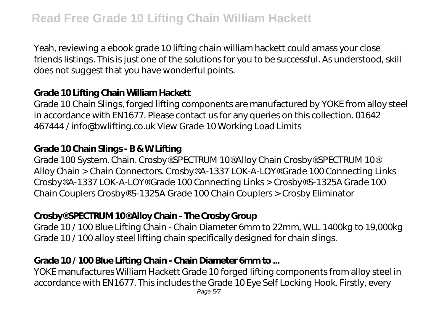Yeah, reviewing a ebook grade 10 lifting chain william hackett could amass your close friends listings. This is just one of the solutions for you to be successful. As understood, skill does not suggest that you have wonderful points.

### **Grade 10 Lifting Chain William Hackett**

Grade 10 Chain Slings, forged lifting components are manufactured by YOKE from alloy steel in accordance with EN1677. Please contact us for any queries on this collection. 01642 467444 / info@bwlifting.co.uk View Grade 10 Working Load Limits

#### **Grade 10 Chain Slings - B & W Lifting**

Grade 100 System. Chain. Crosby® SPECTRUM 10® Alloy Chain Crosby® SPECTRUM 10® Alloy Chain > Chain Connectors. Crosby® A-1337 LOK-A-LOY® Grade 100 Connecting Links Crosby® A-1337 LOK-A-LOY® Grade 100 Connecting Links > Crosby® S-1325A Grade 100 Chain Couplers Crosby® S-1325A Grade 100 Chain Couplers > Crosby Eliminator

#### **Crosby® SPECTRUM 10® Alloy Chain - The Crosby Group**

Grade 10 / 100 Blue Lifting Chain - Chain Diameter 6mm to 22mm, WLL 1400kg to 19,000kg Grade 10 / 100 alloy steel lifting chain specifically designed for chain slings.

# **Grade 10 / 100 Blue Lifting Chain - Chain Diameter 6mm to ...**

YOKE manufactures William Hackett Grade 10 forged lifting components from alloy steel in accordance with EN1677. This includes the Grade 10 Eye Self Locking Hook. Firstly, every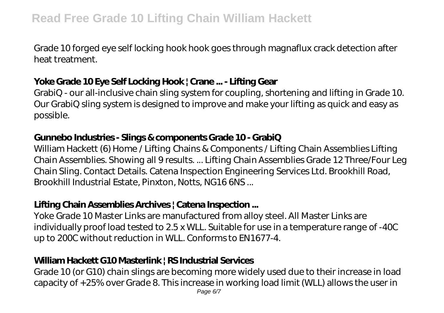Grade 10 forged eye self locking hook hook goes through magnaflux crack detection after heat treatment.

# **Yoke Grade 10 Eye Self Locking Hook | Crane ... - Lifting Gear**

GrabiQ - our all-inclusive chain sling system for coupling, shortening and lifting in Grade 10. Our GrabiQ sling system is designed to improve and make your lifting as quick and easy as possible.

#### **Gunnebo Industries - Slings & components Grade 10 - GrabiQ**

William Hackett (6) Home / Lifting Chains & Components / Lifting Chain Assemblies Lifting Chain Assemblies. Showing all 9 results. ... Lifting Chain Assemblies Grade 12 Three/Four Leg Chain Sling. Contact Details. Catena Inspection Engineering Services Ltd. Brookhill Road, Brookhill Industrial Estate, Pinxton, Notts, NG16 6NS ...

# **Lifting Chain Assemblies Archives | Catena Inspection ...**

Yoke Grade 10 Master Links are manufactured from alloy steel. All Master Links are individually proof load tested to 2.5 x WLL. Suitable for use in a temperature range of -40C up to 200C without reduction in WLL. Conforms to EN1677-4.

# **William Hackett G10 Masterlink | RS Industrial Services**

Grade 10 (or G10) chain slings are becoming more widely used due to their increase in load capacity of +25% over Grade 8. This increase in working load limit (WLL) allows the user in